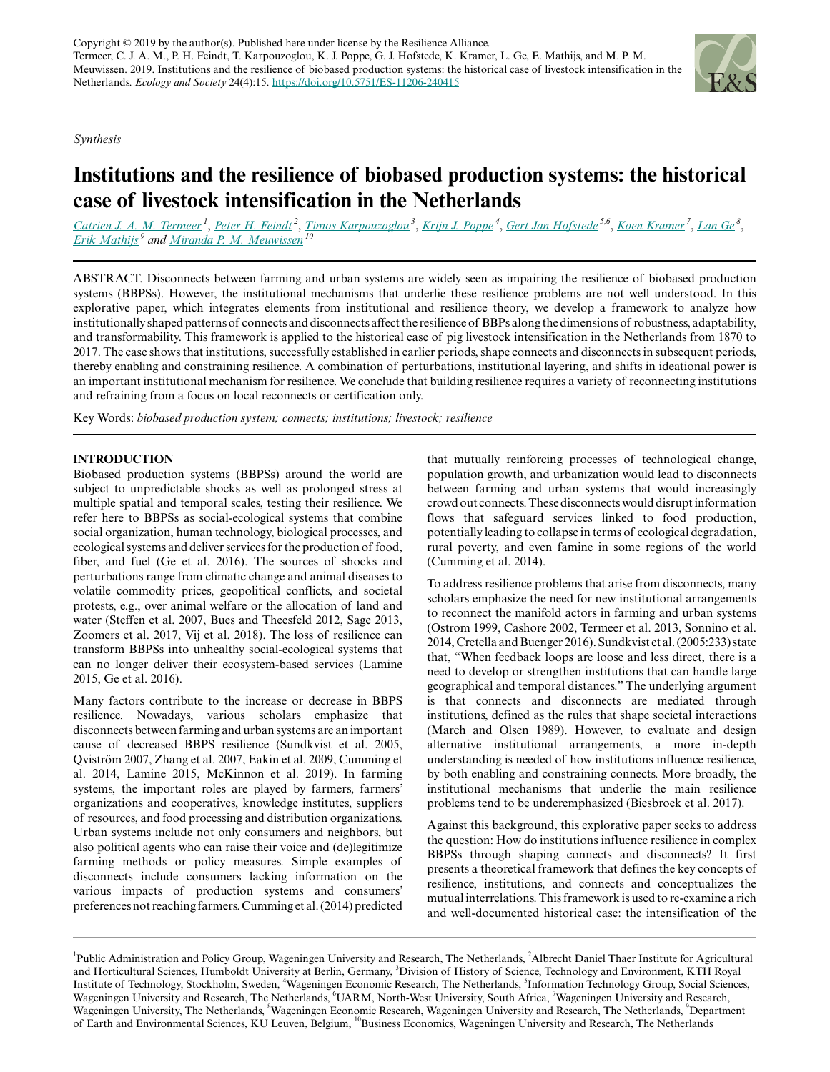*Synthesis*



# **Institutions and the resilience of biobased production systems: the historical case of livestock intensification in the Netherlands**

<u>[Catrien J. A. M. Termeer](mailto:katrien.termeer@wur.nl)<sup>1</sup>, [Peter H. Feindt](mailto:peter.feindt@hu-berlin.de)<sup>2</sup>, [Timos Karpouzoglou](mailto:timothy.karpouzoglou@abe.kth.se)<sup>3</sup>, [Krijn J. Poppe](mailto:krijn.poppe@wur.nl)<sup>4</sup>, [Gert Jan Hofstede](mailto:gertjan.hofstede@wur.nl)<sup>5,6</sup>, [Koen Kramer](mailto:koen.kramer@wur.nl)<sup>7</sup>, [Lan Ge](mailto:ge.lan@wur.nl)<sup>8</sup>,</u> *[Erik Mathijs](mailto:erik.mathijs@kuleuven.be)<sup>9</sup> and [Miranda P. M. Meuwissen](mailto:miranda.meuwissen@wur.nl)<sup>10</sup>*

ABSTRACT. Disconnects between farming and urban systems are widely seen as impairing the resilience of biobased production systems (BBPSs). However, the institutional mechanisms that underlie these resilience problems are not well understood. In this explorative paper, which integrates elements from institutional and resilience theory, we develop a framework to analyze how institutionally shaped patterns of connects and disconnects affect the resilience of BBPs along the dimensions of robustness, adaptability, and transformability. This framework is applied to the historical case of pig livestock intensification in the Netherlands from 1870 to 2017. The case shows that institutions, successfully established in earlier periods, shape connects and disconnects in subsequent periods, thereby enabling and constraining resilience. A combination of perturbations, institutional layering, and shifts in ideational power is an important institutional mechanism for resilience. We conclude that building resilience requires a variety of reconnecting institutions and refraining from a focus on local reconnects or certification only.

Key Words: *biobased production system; connects; institutions; livestock; resilience*

# **INTRODUCTION**

Biobased production systems (BBPSs) around the world are subject to unpredictable shocks as well as prolonged stress at multiple spatial and temporal scales, testing their resilience. We refer here to BBPSs as social-ecological systems that combine social organization, human technology, biological processes, and ecological systems and deliver services for the production of food, fiber, and fuel (Ge et al. 2016). The sources of shocks and perturbations range from climatic change and animal diseases to volatile commodity prices, geopolitical conflicts, and societal protests, e.g., over animal welfare or the allocation of land and water (Steffen et al. 2007, Bues and Theesfeld 2012, Sage 2013, Zoomers et al. 2017, Vij et al. 2018). The loss of resilience can transform BBPSs into unhealthy social-ecological systems that can no longer deliver their ecosystem-based services (Lamine 2015, Ge et al. 2016).

Many factors contribute to the increase or decrease in BBPS resilience. Nowadays, various scholars emphasize that disconnects between farming and urban systems are an important cause of decreased BBPS resilience (Sundkvist et al. 2005, Qviström 2007, Zhang et al. 2007, Eakin et al. 2009, Cumming et al. 2014, Lamine 2015, McKinnon et al. 2019). In farming systems, the important roles are played by farmers, farmers' organizations and cooperatives, knowledge institutes, suppliers of resources, and food processing and distribution organizations. Urban systems include not only consumers and neighbors, but also political agents who can raise their voice and (de)legitimize farming methods or policy measures. Simple examples of disconnects include consumers lacking information on the various impacts of production systems and consumers' preferences not reaching farmers. Cumming et al. (2014) predicted

that mutually reinforcing processes of technological change, population growth, and urbanization would lead to disconnects between farming and urban systems that would increasingly crowd out connects. These disconnects would disrupt information flows that safeguard services linked to food production, potentially leading to collapse in terms of ecological degradation, rural poverty, and even famine in some regions of the world (Cumming et al. 2014).

To address resilience problems that arise from disconnects, many scholars emphasize the need for new institutional arrangements to reconnect the manifold actors in farming and urban systems (Ostrom 1999, Cashore 2002, Termeer et al. 2013, Sonnino et al. 2014, Cretella and Buenger 2016). Sundkvist et al. (2005:233) state that, "When feedback loops are loose and less direct, there is a need to develop or strengthen institutions that can handle large geographical and temporal distances." The underlying argument is that connects and disconnects are mediated through institutions, defined as the rules that shape societal interactions (March and Olsen 1989). However, to evaluate and design alternative institutional arrangements, a more in-depth understanding is needed of how institutions influence resilience, by both enabling and constraining connects. More broadly, the institutional mechanisms that underlie the main resilience problems tend to be underemphasized (Biesbroek et al. 2017).

Against this background, this explorative paper seeks to address the question: How do institutions influence resilience in complex BBPSs through shaping connects and disconnects? It first presents a theoretical framework that defines the key concepts of resilience, institutions, and connects and conceptualizes the mutual interrelations. This framework is used to re-examine a rich and well-documented historical case: the intensification of the

<sup>&</sup>lt;sup>1</sup>Public Administration and Policy Group, Wageningen University and Research, The Netherlands, <sup>2</sup>Albrecht Daniel Thaer Institute for Agricultural and Horticultural Sciences, Humboldt University at Berlin, Germany, <sup>3</sup>Division of History of Science, Technology and Environment, KTH Royal Institute of Technology, Stockholm, Sweden, <sup>4</sup>Wageningen Economic Research, The Netherlands, <sup>5</sup>Information Technology Group, Social Sciences, Wageningen University and Research, The Netherlands, <sup>6</sup>UARM, North-West University, South Africa, <sup>7</sup>Wageningen University and Research, Wageningen University, The Netherlands, <sup>8</sup>Wageningen Economic Research, Wageningen University and Research, The Netherlands, <sup>9</sup>Department of Earth and Environmental Sciences, KU Leuven, Belgium, <sup>10</sup>Business Economics, Wageningen University and Research, The Netherlands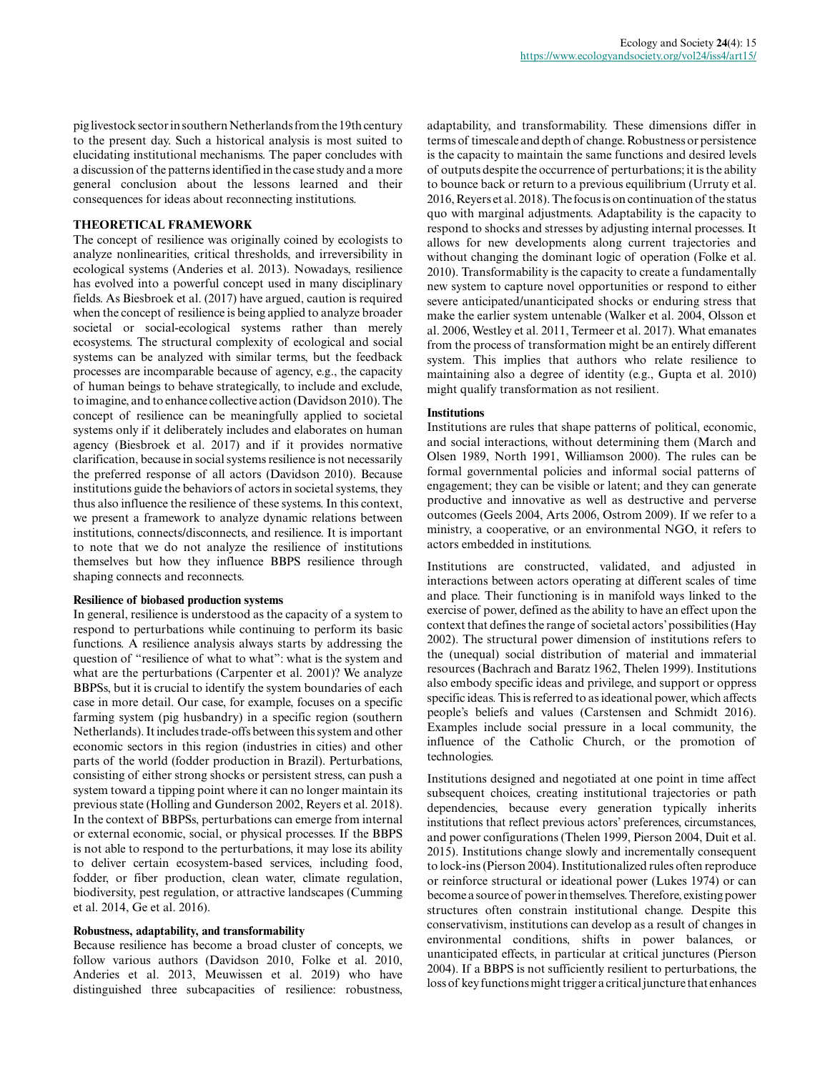pig livestock sector in southern Netherlands from the 19th century to the present day. Such a historical analysis is most suited to elucidating institutional mechanisms. The paper concludes with a discussion of the patterns identified in the case study and a more general conclusion about the lessons learned and their consequences for ideas about reconnecting institutions.

# **THEORETICAL FRAMEWORK**

The concept of resilience was originally coined by ecologists to analyze nonlinearities, critical thresholds, and irreversibility in ecological systems (Anderies et al. 2013). Nowadays, resilience has evolved into a powerful concept used in many disciplinary fields. As Biesbroek et al. (2017) have argued, caution is required when the concept of resilience is being applied to analyze broader societal or social-ecological systems rather than merely ecosystems. The structural complexity of ecological and social systems can be analyzed with similar terms, but the feedback processes are incomparable because of agency, e.g., the capacity of human beings to behave strategically, to include and exclude, to imagine, and to enhance collective action (Davidson 2010). The concept of resilience can be meaningfully applied to societal systems only if it deliberately includes and elaborates on human agency (Biesbroek et al. 2017) and if it provides normative clarification, because in social systems resilience is not necessarily the preferred response of all actors (Davidson 2010). Because institutions guide the behaviors of actors in societal systems, they thus also influence the resilience of these systems. In this context, we present a framework to analyze dynamic relations between institutions, connects/disconnects, and resilience. It is important to note that we do not analyze the resilience of institutions themselves but how they influence BBPS resilience through shaping connects and reconnects.

## **Resilience of biobased production systems**

In general, resilience is understood as the capacity of a system to respond to perturbations while continuing to perform its basic functions. A resilience analysis always starts by addressing the question of "resilience of what to what": what is the system and what are the perturbations (Carpenter et al. 2001)? We analyze BBPSs, but it is crucial to identify the system boundaries of each case in more detail. Our case, for example, focuses on a specific farming system (pig husbandry) in a specific region (southern Netherlands). It includes trade-offs between this system and other economic sectors in this region (industries in cities) and other parts of the world (fodder production in Brazil). Perturbations, consisting of either strong shocks or persistent stress, can push a system toward a tipping point where it can no longer maintain its previous state (Holling and Gunderson 2002, Reyers et al. 2018). In the context of BBPSs, perturbations can emerge from internal or external economic, social, or physical processes. If the BBPS is not able to respond to the perturbations, it may lose its ability to deliver certain ecosystem-based services, including food, fodder, or fiber production, clean water, climate regulation, biodiversity, pest regulation, or attractive landscapes (Cumming et al. 2014, Ge et al. 2016).

## **Robustness, adaptability, and transformability**

Because resilience has become a broad cluster of concepts, we follow various authors (Davidson 2010, Folke et al. 2010, Anderies et al. 2013, Meuwissen et al. 2019) who have distinguished three subcapacities of resilience: robustness, adaptability, and transformability. These dimensions differ in terms of timescale and depth of change. Robustness or persistence is the capacity to maintain the same functions and desired levels of outputs despite the occurrence of perturbations; it is the ability to bounce back or return to a previous equilibrium (Urruty et al. 2016, Reyers et al. 2018). The focus is on continuation of the status quo with marginal adjustments. Adaptability is the capacity to respond to shocks and stresses by adjusting internal processes. It allows for new developments along current trajectories and without changing the dominant logic of operation (Folke et al. 2010). Transformability is the capacity to create a fundamentally new system to capture novel opportunities or respond to either severe anticipated/unanticipated shocks or enduring stress that make the earlier system untenable (Walker et al. 2004, Olsson et al. 2006, Westley et al. 2011, Termeer et al. 2017). What emanates from the process of transformation might be an entirely different system. This implies that authors who relate resilience to maintaining also a degree of identity (e.g., Gupta et al. 2010) might qualify transformation as not resilient.

## **Institutions**

Institutions are rules that shape patterns of political, economic, and social interactions, without determining them (March and Olsen 1989, North 1991, Williamson 2000). The rules can be formal governmental policies and informal social patterns of engagement; they can be visible or latent; and they can generate productive and innovative as well as destructive and perverse outcomes (Geels 2004, Arts 2006, Ostrom 2009). If we refer to a ministry, a cooperative, or an environmental NGO, it refers to actors embedded in institutions.

Institutions are constructed, validated, and adjusted in interactions between actors operating at different scales of time and place. Their functioning is in manifold ways linked to the exercise of power, defined as the ability to have an effect upon the context that defines the range of societal actors' possibilities (Hay 2002). The structural power dimension of institutions refers to the (unequal) social distribution of material and immaterial resources (Bachrach and Baratz 1962, Thelen 1999). Institutions also embody specific ideas and privilege, and support or oppress specific ideas. This is referred to as ideational power, which affects people's beliefs and values (Carstensen and Schmidt 2016). Examples include social pressure in a local community, the influence of the Catholic Church, or the promotion of technologies.

Institutions designed and negotiated at one point in time affect subsequent choices, creating institutional trajectories or path dependencies, because every generation typically inherits institutions that reflect previous actors' preferences, circumstances, and power configurations (Thelen 1999, Pierson 2004, Duit et al. 2015). Institutions change slowly and incrementally consequent to lock-ins (Pierson 2004). Institutionalized rules often reproduce or reinforce structural or ideational power (Lukes 1974) or can become a source of power in themselves. Therefore, existing power structures often constrain institutional change. Despite this conservativism, institutions can develop as a result of changes in environmental conditions, shifts in power balances, or unanticipated effects, in particular at critical junctures (Pierson 2004). If a BBPS is not sufficiently resilient to perturbations, the loss of key functions might trigger a critical juncture that enhances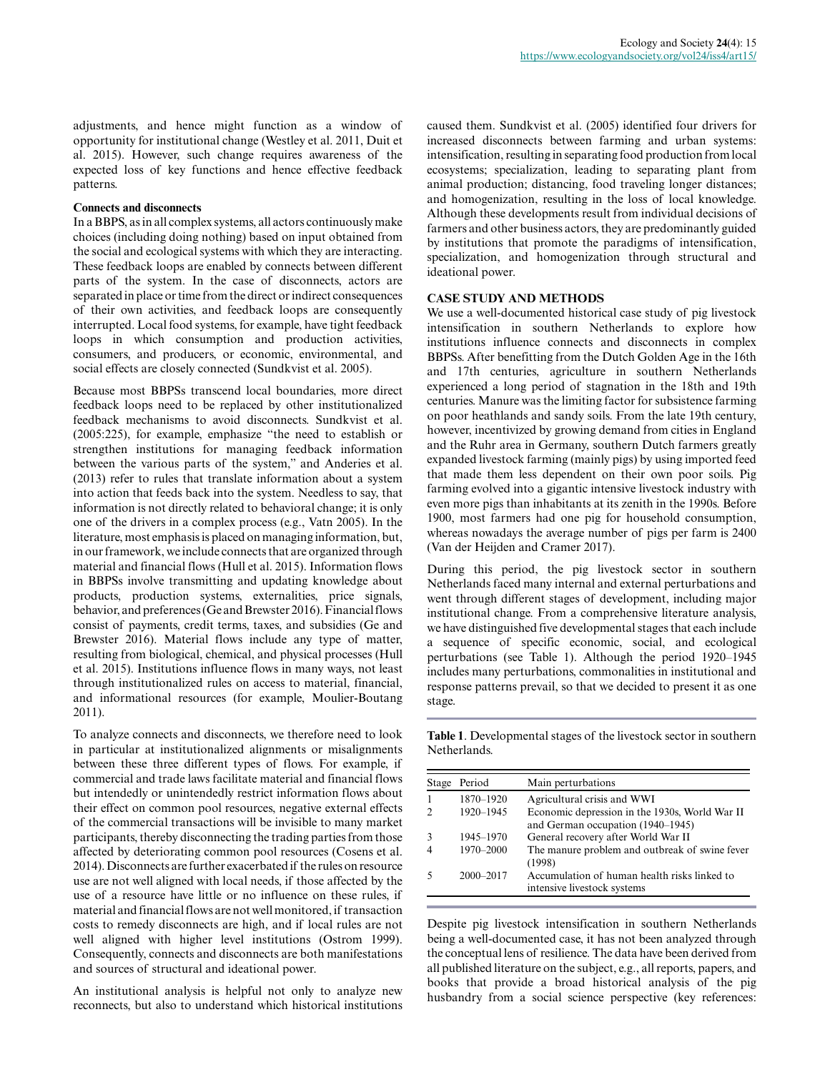adjustments, and hence might function as a window of opportunity for institutional change (Westley et al. 2011, Duit et al. 2015). However, such change requires awareness of the expected loss of key functions and hence effective feedback patterns.

## **Connects and disconnects**

In a BBPS, as in all complex systems, all actors continuously make choices (including doing nothing) based on input obtained from the social and ecological systems with which they are interacting. These feedback loops are enabled by connects between different parts of the system. In the case of disconnects, actors are separated in place or time from the direct or indirect consequences of their own activities, and feedback loops are consequently interrupted. Local food systems, for example, have tight feedback loops in which consumption and production activities, consumers, and producers, or economic, environmental, and social effects are closely connected (Sundkvist et al. 2005).

Because most BBPSs transcend local boundaries, more direct feedback loops need to be replaced by other institutionalized feedback mechanisms to avoid disconnects. Sundkvist et al. (2005:225), for example, emphasize "the need to establish or strengthen institutions for managing feedback information between the various parts of the system," and Anderies et al. (2013) refer to rules that translate information about a system into action that feeds back into the system. Needless to say, that information is not directly related to behavioral change; it is only one of the drivers in a complex process (e.g., Vatn 2005). In the literature, most emphasis is placed on managing information, but, in our framework, we include connects that are organized through material and financial flows (Hull et al. 2015). Information flows in BBPSs involve transmitting and updating knowledge about products, production systems, externalities, price signals, behavior, and preferences (Ge and Brewster 2016). Financial flows consist of payments, credit terms, taxes, and subsidies (Ge and Brewster 2016). Material flows include any type of matter, resulting from biological, chemical, and physical processes (Hull et al. 2015). Institutions influence flows in many ways, not least through institutionalized rules on access to material, financial, and informational resources (for example, Moulier-Boutang 2011).

To analyze connects and disconnects, we therefore need to look in particular at institutionalized alignments or misalignments between these three different types of flows. For example, if commercial and trade laws facilitate material and financial flows but intendedly or unintendedly restrict information flows about their effect on common pool resources, negative external effects of the commercial transactions will be invisible to many market participants, thereby disconnecting the trading parties from those affected by deteriorating common pool resources (Cosens et al. 2014). Disconnects are further exacerbated if the rules on resource use are not well aligned with local needs, if those affected by the use of a resource have little or no influence on these rules, if material and financial flows are not well monitored, if transaction costs to remedy disconnects are high, and if local rules are not well aligned with higher level institutions (Ostrom 1999). Consequently, connects and disconnects are both manifestations and sources of structural and ideational power.

An institutional analysis is helpful not only to analyze new reconnects, but also to understand which historical institutions caused them. Sundkvist et al. (2005) identified four drivers for increased disconnects between farming and urban systems: intensification, resulting in separating food production from local ecosystems; specialization, leading to separating plant from animal production; distancing, food traveling longer distances; and homogenization, resulting in the loss of local knowledge. Although these developments result from individual decisions of farmers and other business actors, they are predominantly guided by institutions that promote the paradigms of intensification, specialization, and homogenization through structural and ideational power.

# **CASE STUDY AND METHODS**

We use a well-documented historical case study of pig livestock intensification in southern Netherlands to explore how institutions influence connects and disconnects in complex BBPSs. After benefitting from the Dutch Golden Age in the 16th and 17th centuries, agriculture in southern Netherlands experienced a long period of stagnation in the 18th and 19th centuries. Manure was the limiting factor for subsistence farming on poor heathlands and sandy soils. From the late 19th century, however, incentivized by growing demand from cities in England and the Ruhr area in Germany, southern Dutch farmers greatly expanded livestock farming (mainly pigs) by using imported feed that made them less dependent on their own poor soils. Pig farming evolved into a gigantic intensive livestock industry with even more pigs than inhabitants at its zenith in the 1990s. Before 1900, most farmers had one pig for household consumption, whereas nowadays the average number of pigs per farm is 2400 (Van der Heijden and Cramer 2017).

During this period, the pig livestock sector in southern Netherlands faced many internal and external perturbations and went through different stages of development, including major institutional change. From a comprehensive literature analysis, we have distinguished five developmental stages that each include a sequence of specific economic, social, and ecological perturbations (see Table 1). Although the period 1920–1945 includes many perturbations, commonalities in institutional and response patterns prevail, so that we decided to present it as one stage.

**Table 1**. Developmental stages of the livestock sector in southern Netherlands.

|   | Stage Period  | Main perturbations                                                                  |
|---|---------------|-------------------------------------------------------------------------------------|
|   | 1870-1920     | Agricultural crisis and WWI                                                         |
|   | 1920-1945     | Economic depression in the 1930s, World War II<br>and German occupation (1940–1945) |
|   | 1945-1970     | General recovery after World War II                                                 |
| 4 | 1970–2000     | The manure problem and outbreak of swine fever<br>(1998)                            |
|   | $2000 - 2017$ | Accumulation of human health risks linked to<br>intensive livestock systems         |

Despite pig livestock intensification in southern Netherlands being a well-documented case, it has not been analyzed through the conceptual lens of resilience. The data have been derived from all published literature on the subject, e.g., all reports, papers, and books that provide a broad historical analysis of the pig husbandry from a social science perspective (key references: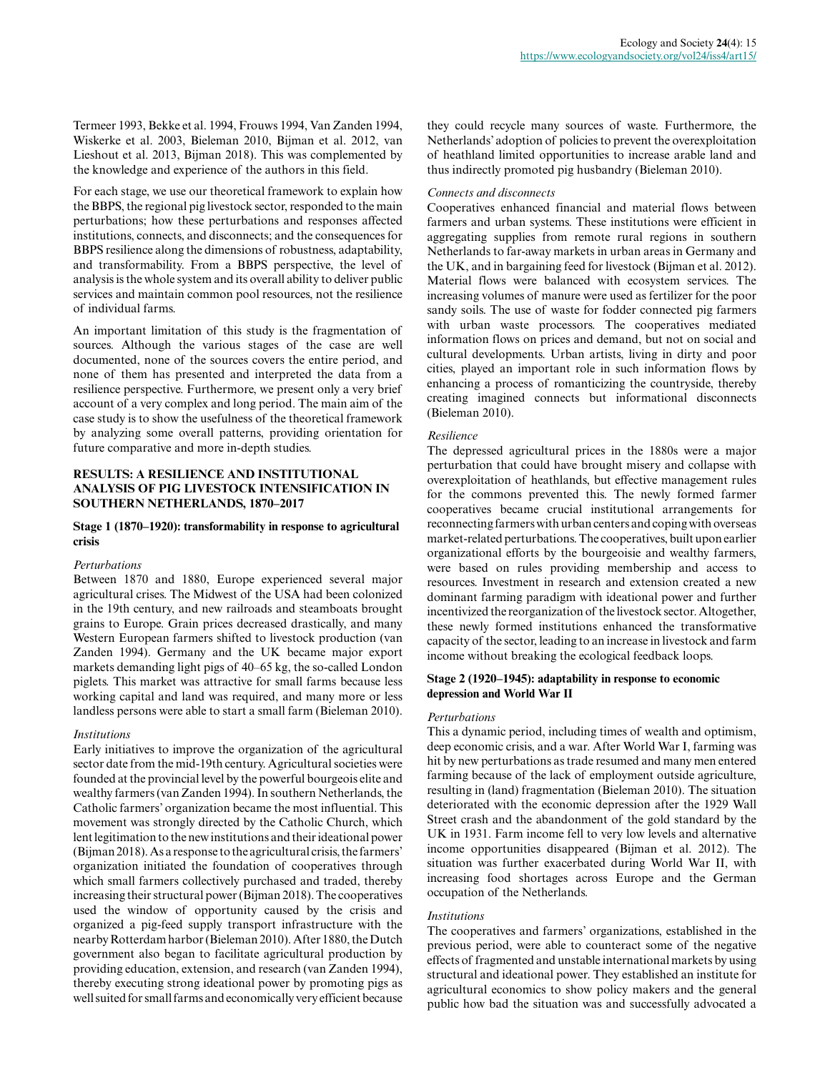Termeer 1993, Bekke et al. 1994, Frouws 1994, Van Zanden 1994, Wiskerke et al. 2003, Bieleman 2010, Bijman et al. 2012, van Lieshout et al. 2013, Bijman 2018). This was complemented by the knowledge and experience of the authors in this field.

For each stage, we use our theoretical framework to explain how the BBPS, the regional pig livestock sector, responded to the main perturbations; how these perturbations and responses affected institutions, connects, and disconnects; and the consequences for BBPS resilience along the dimensions of robustness, adaptability, and transformability. From a BBPS perspective, the level of analysis is the whole system and its overall ability to deliver public services and maintain common pool resources, not the resilience of individual farms.

An important limitation of this study is the fragmentation of sources. Although the various stages of the case are well documented, none of the sources covers the entire period, and none of them has presented and interpreted the data from a resilience perspective. Furthermore, we present only a very brief account of a very complex and long period. The main aim of the case study is to show the usefulness of the theoretical framework by analyzing some overall patterns, providing orientation for future comparative and more in-depth studies.

## **RESULTS: A RESILIENCE AND INSTITUTIONAL ANALYSIS OF PIG LIVESTOCK INTENSIFICATION IN SOUTHERN NETHERLANDS, 1870–2017**

## **Stage 1 (1870–1920): transformability in response to agricultural crisis**

## *Perturbations*

Between 1870 and 1880, Europe experienced several major agricultural crises. The Midwest of the USA had been colonized in the 19th century, and new railroads and steamboats brought grains to Europe. Grain prices decreased drastically, and many Western European farmers shifted to livestock production (van Zanden 1994). Germany and the UK became major export markets demanding light pigs of 40–65 kg, the so-called London piglets. This market was attractive for small farms because less working capital and land was required, and many more or less landless persons were able to start a small farm (Bieleman 2010).

## *Institutions*

Early initiatives to improve the organization of the agricultural sector date from the mid-19th century. Agricultural societies were founded at the provincial level by the powerful bourgeois elite and wealthy farmers (van Zanden 1994). In southern Netherlands, the Catholic farmers' organization became the most influential. This movement was strongly directed by the Catholic Church, which lent legitimation to the new institutions and their ideational power (Bijman 2018). As a response to the agricultural crisis, the farmers' organization initiated the foundation of cooperatives through which small farmers collectively purchased and traded, thereby increasing their structural power (Bijman 2018). The cooperatives used the window of opportunity caused by the crisis and organized a pig-feed supply transport infrastructure with the nearby Rotterdam harbor (Bieleman 2010). After 1880, the Dutch government also began to facilitate agricultural production by providing education, extension, and research (van Zanden 1994), thereby executing strong ideational power by promoting pigs as well suited for small farms and economically very efficient because

they could recycle many sources of waste. Furthermore, the Netherlands' adoption of policies to prevent the overexploitation of heathland limited opportunities to increase arable land and thus indirectly promoted pig husbandry (Bieleman 2010).

#### *Connects and disconnects*

Cooperatives enhanced financial and material flows between farmers and urban systems. These institutions were efficient in aggregating supplies from remote rural regions in southern Netherlands to far-away markets in urban areas in Germany and the UK, and in bargaining feed for livestock (Bijman et al. 2012). Material flows were balanced with ecosystem services. The increasing volumes of manure were used as fertilizer for the poor sandy soils. The use of waste for fodder connected pig farmers with urban waste processors. The cooperatives mediated information flows on prices and demand, but not on social and cultural developments. Urban artists, living in dirty and poor cities, played an important role in such information flows by enhancing a process of romanticizing the countryside, thereby creating imagined connects but informational disconnects (Bieleman 2010).

## *Resilience*

The depressed agricultural prices in the 1880s were a major perturbation that could have brought misery and collapse with overexploitation of heathlands, but effective management rules for the commons prevented this. The newly formed farmer cooperatives became crucial institutional arrangements for reconnecting farmers with urban centers and coping with overseas market-related perturbations. The cooperatives, built upon earlier organizational efforts by the bourgeoisie and wealthy farmers, were based on rules providing membership and access to resources. Investment in research and extension created a new dominant farming paradigm with ideational power and further incentivized the reorganization of the livestock sector. Altogether, these newly formed institutions enhanced the transformative capacity of the sector, leading to an increase in livestock and farm income without breaking the ecological feedback loops.

# **Stage 2 (1920–1945): adaptability in response to economic depression and World War II**

## *Perturbations*

This a dynamic period, including times of wealth and optimism, deep economic crisis, and a war. After World War I, farming was hit by new perturbations as trade resumed and many men entered farming because of the lack of employment outside agriculture, resulting in (land) fragmentation (Bieleman 2010). The situation deteriorated with the economic depression after the 1929 Wall Street crash and the abandonment of the gold standard by the UK in 1931. Farm income fell to very low levels and alternative income opportunities disappeared (Bijman et al. 2012). The situation was further exacerbated during World War II, with increasing food shortages across Europe and the German occupation of the Netherlands.

#### *Institutions*

The cooperatives and farmers' organizations, established in the previous period, were able to counteract some of the negative effects of fragmented and unstable international markets by using structural and ideational power. They established an institute for agricultural economics to show policy makers and the general public how bad the situation was and successfully advocated a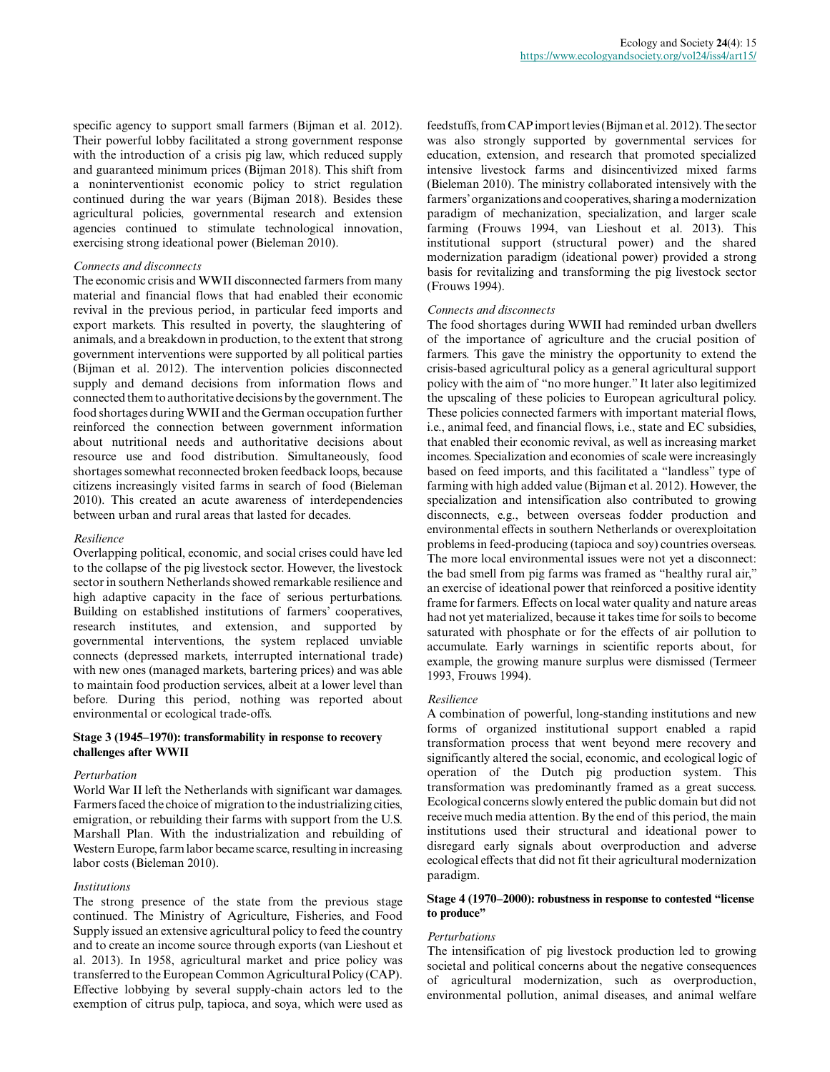specific agency to support small farmers (Bijman et al. 2012). Their powerful lobby facilitated a strong government response with the introduction of a crisis pig law, which reduced supply and guaranteed minimum prices (Bijman 2018). This shift from a noninterventionist economic policy to strict regulation continued during the war years (Bijman 2018). Besides these agricultural policies, governmental research and extension agencies continued to stimulate technological innovation, exercising strong ideational power (Bieleman 2010).

## *Connects and disconnects*

The economic crisis and WWII disconnected farmers from many material and financial flows that had enabled their economic revival in the previous period, in particular feed imports and export markets. This resulted in poverty, the slaughtering of animals, and a breakdown in production, to the extent that strong government interventions were supported by all political parties (Bijman et al. 2012). The intervention policies disconnected supply and demand decisions from information flows and connected them to authoritative decisions by the government. The food shortages during WWII and the German occupation further reinforced the connection between government information about nutritional needs and authoritative decisions about resource use and food distribution. Simultaneously, food shortages somewhat reconnected broken feedback loops, because citizens increasingly visited farms in search of food (Bieleman 2010). This created an acute awareness of interdependencies between urban and rural areas that lasted for decades.

### *Resilience*

Overlapping political, economic, and social crises could have led to the collapse of the pig livestock sector. However, the livestock sector in southern Netherlands showed remarkable resilience and high adaptive capacity in the face of serious perturbations. Building on established institutions of farmers' cooperatives, research institutes, and extension, and supported by governmental interventions, the system replaced unviable connects (depressed markets, interrupted international trade) with new ones (managed markets, bartering prices) and was able to maintain food production services, albeit at a lower level than before. During this period, nothing was reported about environmental or ecological trade-offs.

## **Stage 3 (1945–1970): transformability in response to recovery challenges after WWII**

#### *Perturbation*

World War II left the Netherlands with significant war damages. Farmers faced the choice of migration to the industrializing cities, emigration, or rebuilding their farms with support from the U.S. Marshall Plan. With the industrialization and rebuilding of Western Europe, farm labor became scarce, resulting in increasing labor costs (Bieleman 2010).

## *Institutions*

The strong presence of the state from the previous stage continued. The Ministry of Agriculture, Fisheries, and Food Supply issued an extensive agricultural policy to feed the country and to create an income source through exports (van Lieshout et al. 2013). In 1958, agricultural market and price policy was transferred to the European Common Agricultural Policy (CAP). Effective lobbying by several supply-chain actors led to the exemption of citrus pulp, tapioca, and soya, which were used as feedstuffs, from CAP import levies (Bijman et al. 2012). The sector was also strongly supported by governmental services for education, extension, and research that promoted specialized intensive livestock farms and disincentivized mixed farms (Bieleman 2010). The ministry collaborated intensively with the farmers' organizations and cooperatives, sharing a modernization paradigm of mechanization, specialization, and larger scale farming (Frouws 1994, van Lieshout et al. 2013). This institutional support (structural power) and the shared modernization paradigm (ideational power) provided a strong basis for revitalizing and transforming the pig livestock sector (Frouws 1994).

#### *Connects and disconnects*

The food shortages during WWII had reminded urban dwellers of the importance of agriculture and the crucial position of farmers. This gave the ministry the opportunity to extend the crisis-based agricultural policy as a general agricultural support policy with the aim of "no more hunger." It later also legitimized the upscaling of these policies to European agricultural policy. These policies connected farmers with important material flows, i.e., animal feed, and financial flows, i.e., state and EC subsidies, that enabled their economic revival, as well as increasing market incomes. Specialization and economies of scale were increasingly based on feed imports, and this facilitated a "landless" type of farming with high added value (Bijman et al. 2012). However, the specialization and intensification also contributed to growing disconnects, e.g., between overseas fodder production and environmental effects in southern Netherlands or overexploitation problems in feed-producing (tapioca and soy) countries overseas. The more local environmental issues were not yet a disconnect: the bad smell from pig farms was framed as "healthy rural air," an exercise of ideational power that reinforced a positive identity frame for farmers. Effects on local water quality and nature areas had not yet materialized, because it takes time for soils to become saturated with phosphate or for the effects of air pollution to accumulate. Early warnings in scientific reports about, for example, the growing manure surplus were dismissed (Termeer 1993, Frouws 1994).

#### *Resilience*

A combination of powerful, long-standing institutions and new forms of organized institutional support enabled a rapid transformation process that went beyond mere recovery and significantly altered the social, economic, and ecological logic of operation of the Dutch pig production system. This transformation was predominantly framed as a great success. Ecological concerns slowly entered the public domain but did not receive much media attention. By the end of this period, the main institutions used their structural and ideational power to disregard early signals about overproduction and adverse ecological effects that did not fit their agricultural modernization paradigm.

## **Stage 4 (1970–2000): robustness in response to contested "license to produce"**

## *Perturbations*

The intensification of pig livestock production led to growing societal and political concerns about the negative consequences of agricultural modernization, such as overproduction, environmental pollution, animal diseases, and animal welfare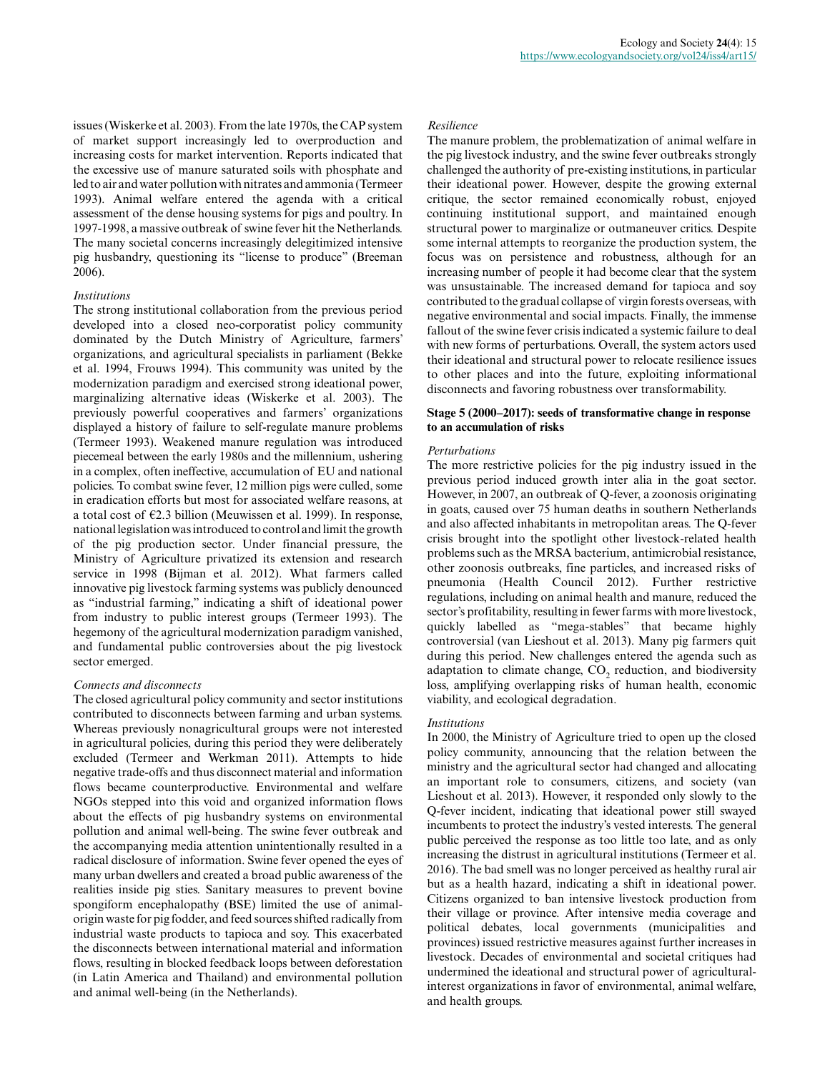issues (Wiskerke et al. 2003). From the late 1970s, the CAP system of market support increasingly led to overproduction and increasing costs for market intervention. Reports indicated that the excessive use of manure saturated soils with phosphate and led to air and water pollution with nitrates and ammonia (Termeer 1993). Animal welfare entered the agenda with a critical assessment of the dense housing systems for pigs and poultry. In 1997-1998, a massive outbreak of swine fever hit the Netherlands. The many societal concerns increasingly delegitimized intensive pig husbandry, questioning its "license to produce" (Breeman 2006).

## *Institutions*

The strong institutional collaboration from the previous period developed into a closed neo-corporatist policy community dominated by the Dutch Ministry of Agriculture, farmers' organizations, and agricultural specialists in parliament (Bekke et al. 1994, Frouws 1994). This community was united by the modernization paradigm and exercised strong ideational power, marginalizing alternative ideas (Wiskerke et al. 2003). The previously powerful cooperatives and farmers' organizations displayed a history of failure to self-regulate manure problems (Termeer 1993). Weakened manure regulation was introduced piecemeal between the early 1980s and the millennium, ushering in a complex, often ineffective, accumulation of EU and national policies. To combat swine fever, 12 million pigs were culled, some in eradication efforts but most for associated welfare reasons, at a total cost of  $\epsilon$ 2.3 billion (Meuwissen et al. 1999). In response, national legislation was introduced to control and limit the growth of the pig production sector. Under financial pressure, the Ministry of Agriculture privatized its extension and research service in 1998 (Bijman et al. 2012). What farmers called innovative pig livestock farming systems was publicly denounced as "industrial farming," indicating a shift of ideational power from industry to public interest groups (Termeer 1993). The hegemony of the agricultural modernization paradigm vanished, and fundamental public controversies about the pig livestock sector emerged.

## *Connects and disconnects*

The closed agricultural policy community and sector institutions contributed to disconnects between farming and urban systems. Whereas previously nonagricultural groups were not interested in agricultural policies, during this period they were deliberately excluded (Termeer and Werkman 2011). Attempts to hide negative trade-offs and thus disconnect material and information flows became counterproductive. Environmental and welfare NGOs stepped into this void and organized information flows about the effects of pig husbandry systems on environmental pollution and animal well-being. The swine fever outbreak and the accompanying media attention unintentionally resulted in a radical disclosure of information. Swine fever opened the eyes of many urban dwellers and created a broad public awareness of the realities inside pig sties. Sanitary measures to prevent bovine spongiform encephalopathy (BSE) limited the use of animalorigin waste for pig fodder, and feed sources shifted radically from industrial waste products to tapioca and soy. This exacerbated the disconnects between international material and information flows, resulting in blocked feedback loops between deforestation (in Latin America and Thailand) and environmental pollution and animal well-being (in the Netherlands).

## *Resilience*

The manure problem, the problematization of animal welfare in the pig livestock industry, and the swine fever outbreaks strongly challenged the authority of pre-existing institutions, in particular their ideational power. However, despite the growing external critique, the sector remained economically robust, enjoyed continuing institutional support, and maintained enough structural power to marginalize or outmaneuver critics. Despite some internal attempts to reorganize the production system, the focus was on persistence and robustness, although for an increasing number of people it had become clear that the system was unsustainable. The increased demand for tapioca and soy contributed to the gradual collapse of virgin forests overseas, with negative environmental and social impacts. Finally, the immense fallout of the swine fever crisis indicated a systemic failure to deal with new forms of perturbations. Overall, the system actors used their ideational and structural power to relocate resilience issues to other places and into the future, exploiting informational disconnects and favoring robustness over transformability.

# **Stage 5 (2000–2017): seeds of transformative change in response to an accumulation of risks**

## *Perturbations*

The more restrictive policies for the pig industry issued in the previous period induced growth inter alia in the goat sector. However, in 2007, an outbreak of Q-fever, a zoonosis originating in goats, caused over 75 human deaths in southern Netherlands and also affected inhabitants in metropolitan areas. The Q-fever crisis brought into the spotlight other livestock-related health problems such as the MRSA bacterium, antimicrobial resistance, other zoonosis outbreaks, fine particles, and increased risks of pneumonia (Health Council 2012). Further restrictive regulations, including on animal health and manure, reduced the sector's profitability, resulting in fewer farms with more livestock, quickly labelled as "mega-stables" that became highly controversial (van Lieshout et al. 2013). Many pig farmers quit during this period. New challenges entered the agenda such as adaptation to climate change,  $CO_2$  reduction, and biodiversity loss, amplifying overlapping risks of human health, economic viability, and ecological degradation.

## *Institutions*

In 2000, the Ministry of Agriculture tried to open up the closed policy community, announcing that the relation between the ministry and the agricultural sector had changed and allocating an important role to consumers, citizens, and society (van Lieshout et al. 2013). However, it responded only slowly to the Q-fever incident, indicating that ideational power still swayed incumbents to protect the industry's vested interests. The general public perceived the response as too little too late, and as only increasing the distrust in agricultural institutions (Termeer et al. 2016). The bad smell was no longer perceived as healthy rural air but as a health hazard, indicating a shift in ideational power. Citizens organized to ban intensive livestock production from their village or province. After intensive media coverage and political debates, local governments (municipalities and provinces) issued restrictive measures against further increases in livestock. Decades of environmental and societal critiques had undermined the ideational and structural power of agriculturalinterest organizations in favor of environmental, animal welfare, and health groups.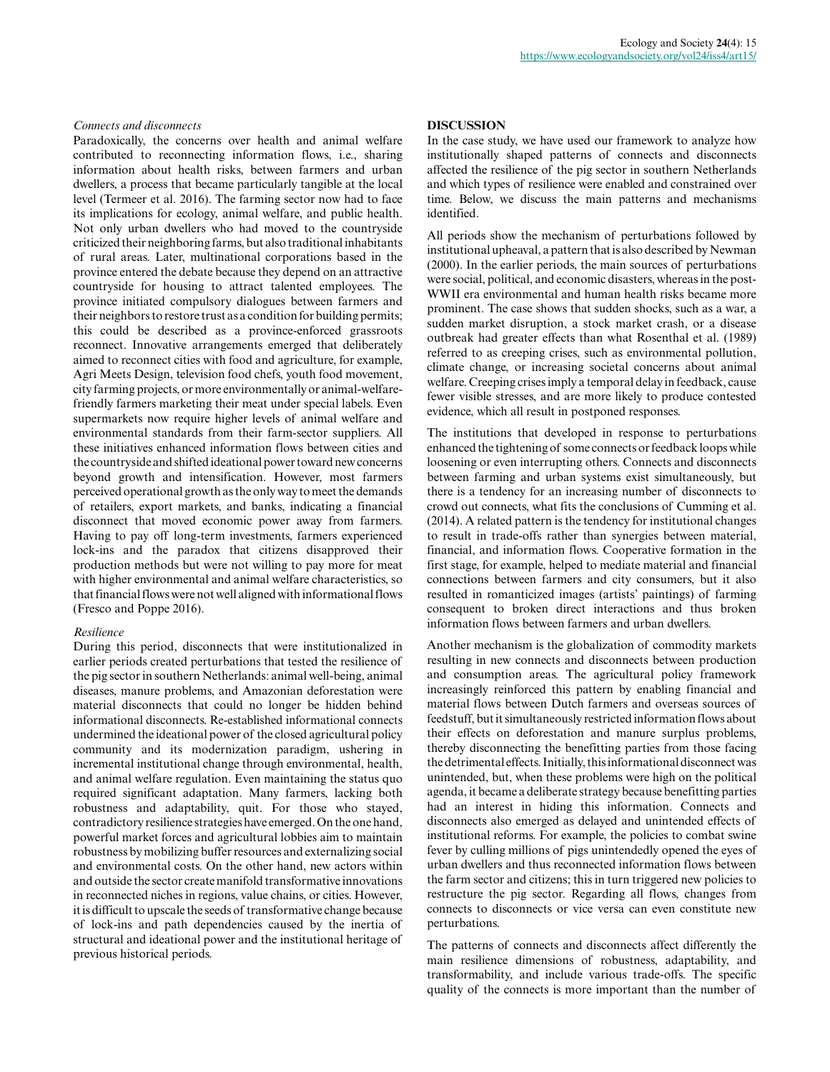## *Connects and disconnects*

Paradoxically, the concerns over health and animal welfare contributed to reconnecting information flows, i.e., sharing information about health risks, between farmers and urban dwellers, a process that became particularly tangible at the local level (Termeer et al. 2016). The farming sector now had to face its implications for ecology, animal welfare, and public health. Not only urban dwellers who had moved to the countryside criticized their neighboring farms, but also traditional inhabitants of rural areas. Later, multinational corporations based in the province entered the debate because they depend on an attractive countryside for housing to attract talented employees. The province initiated compulsory dialogues between farmers and their neighbors to restore trust as a condition for building permits; this could be described as a province-enforced grassroots reconnect. Innovative arrangements emerged that deliberately aimed to reconnect cities with food and agriculture, for example, Agri Meets Design, television food chefs, youth food movement, city farming projects, or more environmentally or animal-welfarefriendly farmers marketing their meat under special labels. Even supermarkets now require higher levels of animal welfare and environmental standards from their farm-sector suppliers. All these initiatives enhanced information flows between cities and the countryside and shifted ideational power toward new concerns beyond growth and intensification. However, most farmers perceived operational growth as the only way to meet the demands of retailers, export markets, and banks, indicating a financial disconnect that moved economic power away from farmers. Having to pay off long-term investments, farmers experienced lock-ins and the paradox that citizens disapproved their production methods but were not willing to pay more for meat with higher environmental and animal welfare characteristics, so that financial flows were not well aligned with informational flows (Fresco and Poppe 2016).

#### *Resilience*

During this period, disconnects that were institutionalized in earlier periods created perturbations that tested the resilience of the pig sector in southern Netherlands: animal well-being, animal diseases, manure problems, and Amazonian deforestation were material disconnects that could no longer be hidden behind informational disconnects. Re-established informational connects undermined the ideational power of the closed agricultural policy community and its modernization paradigm, ushering in incremental institutional change through environmental, health, and animal welfare regulation. Even maintaining the status quo required significant adaptation. Many farmers, lacking both robustness and adaptability, quit. For those who stayed, contradictory resilience strategies have emerged. On the one hand, powerful market forces and agricultural lobbies aim to maintain robustness by mobilizing buffer resources and externalizing social and environmental costs. On the other hand, new actors within and outside the sector create manifold transformative innovations in reconnected niches in regions, value chains, or cities. However, it is difficult to upscale the seeds of transformative change because of lock-ins and path dependencies caused by the inertia of structural and ideational power and the institutional heritage of previous historical periods.

## **DISCUSSION**

In the case study, we have used our framework to analyze how institutionally shaped patterns of connects and disconnects affected the resilience of the pig sector in southern Netherlands and which types of resilience were enabled and constrained over time. Below, we discuss the main patterns and mechanisms identified.

All periods show the mechanism of perturbations followed by institutional upheaval, a pattern that is also described by Newman (2000). In the earlier periods, the main sources of perturbations were social, political, and economic disasters, whereas in the post-WWII era environmental and human health risks became more prominent. The case shows that sudden shocks, such as a war, a sudden market disruption, a stock market crash, or a disease outbreak had greater effects than what Rosenthal et al. (1989) referred to as creeping crises, such as environmental pollution, climate change, or increasing societal concerns about animal welfare. Creeping crises imply a temporal delay in feedback, cause fewer visible stresses, and are more likely to produce contested evidence, which all result in postponed responses.

The institutions that developed in response to perturbations enhanced the tightening of some connects or feedback loops while loosening or even interrupting others. Connects and disconnects between farming and urban systems exist simultaneously, but there is a tendency for an increasing number of disconnects to crowd out connects, what fits the conclusions of Cumming et al. (2014). A related pattern is the tendency for institutional changes to result in trade-offs rather than synergies between material, financial, and information flows. Cooperative formation in the first stage, for example, helped to mediate material and financial connections between farmers and city consumers, but it also resulted in romanticized images (artists' paintings) of farming consequent to broken direct interactions and thus broken information flows between farmers and urban dwellers.

Another mechanism is the globalization of commodity markets resulting in new connects and disconnects between production and consumption areas. The agricultural policy framework increasingly reinforced this pattern by enabling financial and material flows between Dutch farmers and overseas sources of feedstuff, but it simultaneously restricted information flows about their effects on deforestation and manure surplus problems, thereby disconnecting the benefitting parties from those facing the detrimental effects. Initially, this informational disconnect was unintended, but, when these problems were high on the political agenda, it became a deliberate strategy because benefitting parties had an interest in hiding this information. Connects and disconnects also emerged as delayed and unintended effects of institutional reforms. For example, the policies to combat swine fever by culling millions of pigs unintendedly opened the eyes of urban dwellers and thus reconnected information flows between the farm sector and citizens; this in turn triggered new policies to restructure the pig sector. Regarding all flows, changes from connects to disconnects or vice versa can even constitute new perturbations.

The patterns of connects and disconnects affect differently the main resilience dimensions of robustness, adaptability, and transformability, and include various trade-offs. The specific quality of the connects is more important than the number of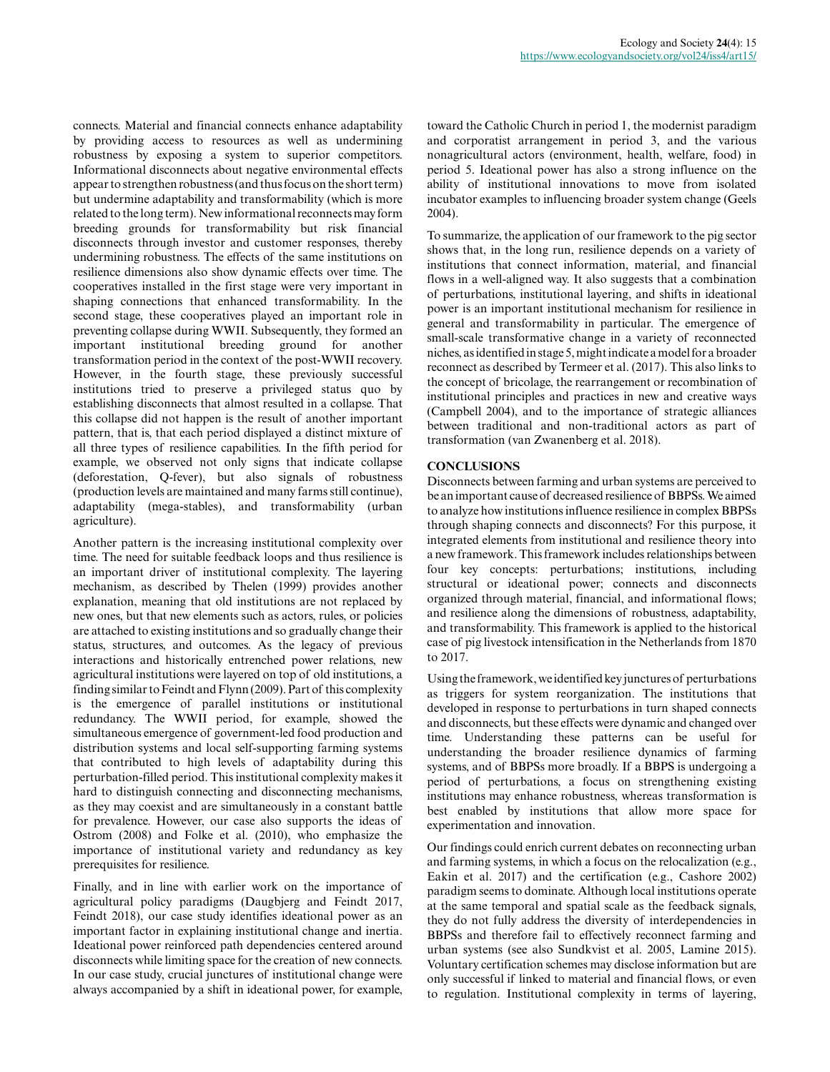connects. Material and financial connects enhance adaptability by providing access to resources as well as undermining robustness by exposing a system to superior competitors. Informational disconnects about negative environmental effects appear to strengthen robustness (and thus focus on the short term) but undermine adaptability and transformability (which is more related to the long term). New informational reconnects may form breeding grounds for transformability but risk financial disconnects through investor and customer responses, thereby undermining robustness. The effects of the same institutions on resilience dimensions also show dynamic effects over time. The cooperatives installed in the first stage were very important in shaping connections that enhanced transformability. In the second stage, these cooperatives played an important role in preventing collapse during WWII. Subsequently, they formed an important institutional breeding ground for another transformation period in the context of the post-WWII recovery. However, in the fourth stage, these previously successful institutions tried to preserve a privileged status quo by establishing disconnects that almost resulted in a collapse. That this collapse did not happen is the result of another important pattern, that is, that each period displayed a distinct mixture of all three types of resilience capabilities. In the fifth period for example, we observed not only signs that indicate collapse (deforestation, Q-fever), but also signals of robustness (production levels are maintained and many farms still continue), adaptability (mega-stables), and transformability (urban agriculture).

Another pattern is the increasing institutional complexity over time. The need for suitable feedback loops and thus resilience is an important driver of institutional complexity. The layering mechanism, as described by Thelen (1999) provides another explanation, meaning that old institutions are not replaced by new ones, but that new elements such as actors, rules, or policies are attached to existing institutions and so gradually change their status, structures, and outcomes. As the legacy of previous interactions and historically entrenched power relations, new agricultural institutions were layered on top of old institutions, a finding similar to Feindt and Flynn (2009). Part of this complexity is the emergence of parallel institutions or institutional redundancy. The WWII period, for example, showed the simultaneous emergence of government-led food production and distribution systems and local self-supporting farming systems that contributed to high levels of adaptability during this perturbation-filled period. This institutional complexity makes it hard to distinguish connecting and disconnecting mechanisms, as they may coexist and are simultaneously in a constant battle for prevalence. However, our case also supports the ideas of Ostrom (2008) and Folke et al. (2010), who emphasize the importance of institutional variety and redundancy as key prerequisites for resilience.

Finally, and in line with earlier work on the importance of agricultural policy paradigms (Daugbjerg and Feindt 2017, Feindt 2018), our case study identifies ideational power as an important factor in explaining institutional change and inertia. Ideational power reinforced path dependencies centered around disconnects while limiting space for the creation of new connects. In our case study, crucial junctures of institutional change were always accompanied by a shift in ideational power, for example,

toward the Catholic Church in period 1, the modernist paradigm and corporatist arrangement in period 3, and the various nonagricultural actors (environment, health, welfare, food) in period 5. Ideational power has also a strong influence on the ability of institutional innovations to move from isolated incubator examples to influencing broader system change (Geels 2004).

To summarize, the application of our framework to the pig sector shows that, in the long run, resilience depends on a variety of institutions that connect information, material, and financial flows in a well-aligned way. It also suggests that a combination of perturbations, institutional layering, and shifts in ideational power is an important institutional mechanism for resilience in general and transformability in particular. The emergence of small-scale transformative change in a variety of reconnected niches, as identified in stage 5, might indicate a model for a broader reconnect as described by Termeer et al. (2017). This also links to the concept of bricolage, the rearrangement or recombination of institutional principles and practices in new and creative ways (Campbell 2004), and to the importance of strategic alliances between traditional and non-traditional actors as part of transformation (van Zwanenberg et al. 2018).

# **CONCLUSIONS**

Disconnects between farming and urban systems are perceived to be an important cause of decreased resilience of BBPSs. We aimed to analyze how institutions influence resilience in complex BBPSs through shaping connects and disconnects? For this purpose, it integrated elements from institutional and resilience theory into a new framework. This framework includes relationships between four key concepts: perturbations; institutions, including structural or ideational power; connects and disconnects organized through material, financial, and informational flows; and resilience along the dimensions of robustness, adaptability, and transformability. This framework is applied to the historical case of pig livestock intensification in the Netherlands from 1870 to 2017.

Using the framework, we identified key junctures of perturbations as triggers for system reorganization. The institutions that developed in response to perturbations in turn shaped connects and disconnects, but these effects were dynamic and changed over time. Understanding these patterns can be useful for understanding the broader resilience dynamics of farming systems, and of BBPSs more broadly. If a BBPS is undergoing a period of perturbations, a focus on strengthening existing institutions may enhance robustness, whereas transformation is best enabled by institutions that allow more space for experimentation and innovation.

Our findings could enrich current debates on reconnecting urban and farming systems, in which a focus on the relocalization (e.g., Eakin et al. 2017) and the certification (e.g., Cashore 2002) paradigm seems to dominate. Although local institutions operate at the same temporal and spatial scale as the feedback signals, they do not fully address the diversity of interdependencies in BBPSs and therefore fail to effectively reconnect farming and urban systems (see also Sundkvist et al. 2005, Lamine 2015). Voluntary certification schemes may disclose information but are only successful if linked to material and financial flows, or even to regulation. Institutional complexity in terms of layering,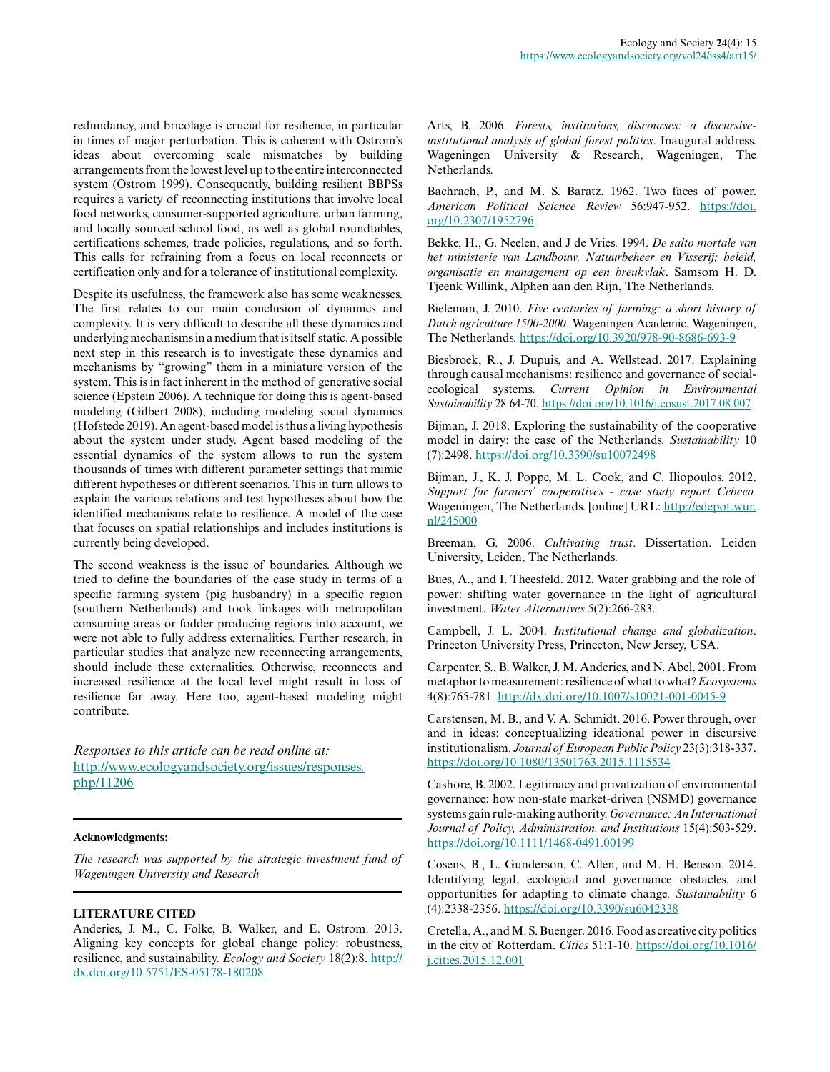redundancy, and bricolage is crucial for resilience, in particular in times of major perturbation. This is coherent with Ostrom's ideas about overcoming scale mismatches by building arrangements from the lowest level up to the entire interconnected system (Ostrom 1999). Consequently, building resilient BBPSs requires a variety of reconnecting institutions that involve local food networks, consumer-supported agriculture, urban farming, and locally sourced school food, as well as global roundtables, certifications schemes, trade policies, regulations, and so forth. This calls for refraining from a focus on local reconnects or certification only and for a tolerance of institutional complexity.

Despite its usefulness, the framework also has some weaknesses. The first relates to our main conclusion of dynamics and complexity. It is very difficult to describe all these dynamics and underlying mechanisms in a medium that is itself static. A possible next step in this research is to investigate these dynamics and mechanisms by "growing" them in a miniature version of the system. This is in fact inherent in the method of generative social science (Epstein 2006). A technique for doing this is agent-based modeling (Gilbert 2008), including modeling social dynamics (Hofstede 2019). An agent-based model is thus a living hypothesis about the system under study. Agent based modeling of the essential dynamics of the system allows to run the system thousands of times with different parameter settings that mimic different hypotheses or different scenarios. This in turn allows to explain the various relations and test hypotheses about how the identified mechanisms relate to resilience. A model of the case that focuses on spatial relationships and includes institutions is currently being developed.

The second weakness is the issue of boundaries. Although we tried to define the boundaries of the case study in terms of a specific farming system (pig husbandry) in a specific region (southern Netherlands) and took linkages with metropolitan consuming areas or fodder producing regions into account, we were not able to fully address externalities. Further research, in particular studies that analyze new reconnecting arrangements, should include these externalities. Otherwise, reconnects and increased resilience at the local level might result in loss of resilience far away. Here too, agent-based modeling might contribute.

*Responses to this article can be read online at:* [http://www.ecologyandsociety.org/issues/responses.](http://www.ecologyandsociety.org/issues/responses.php/11206) [php/11206](http://www.ecologyandsociety.org/issues/responses.php/11206)

## **Acknowledgments:**

*The research was supported by the strategic investment fund of Wageningen University and Research*

### **LITERATURE CITED**

Anderies, J. M., C. Folke, B. Walker, and E. Ostrom. 2013. Aligning key concepts for global change policy: robustness, resilience, and sustainability. *Ecology and Society* 18(2):8. [http://](http://dx.doi.org/10.5751/ES-05178-180208) [dx.doi.org/10.5751/ES-05178-180208](http://dx.doi.org/10.5751/ES-05178-180208)

Arts, B. 2006. *Forests, institutions, discourses: a discursiveinstitutional analysis of global forest politics*. Inaugural address. Wageningen University & Research, Wageningen, The Netherlands.

Bachrach, P., and M. S. Baratz. 1962. Two faces of power. *American Political Science Review* 56:947-952. [https://doi.](https://doi.org/10.2307/1952796) [org/10.2307/1952796](https://doi.org/10.2307/1952796) 

Bekke, H., G. Neelen, and J de Vries. 1994. *De salto mortale van het ministerie van Landbouw, Natuurbeheer en Visserij; beleid, organisatie en management op een breukvlak*. Samsom H. D. Tjeenk Willink, Alphen aan den Rijn, The Netherlands.

Bieleman, J. 2010. *Five centuries of farming: a short history of Dutch agriculture 1500-2000*. Wageningen Academic, Wageningen, The Netherlands.<https://doi.org/10.3920/978-90-8686-693-9>

Biesbroek, R., J. Dupuis, and A. Wellstead. 2017. Explaining through causal mechanisms: resilience and governance of socialecological systems. *Current Opinion in Environmental Sustainability* 28:64-70. <https://doi.org/10.1016/j.cosust.2017.08.007>

Bijman, J. 2018. Exploring the sustainability of the cooperative model in dairy: the case of the Netherlands. *Sustainability* 10 (7):2498. <https://doi.org/10.3390/su10072498>

Bijman, J., K. J. Poppe, M. L. Cook, and C. Iliopoulos. 2012. *Support for farmers' cooperatives - case study report Cebeco.* Wageningen, The Netherlands. [online] URL: [http://edepot.wur.](http://edepot.wur.nl/245000) [nl/245000](http://edepot.wur.nl/245000) 

Breeman, G. 2006. *Cultivating trust*. Dissertation. Leiden University, Leiden, The Netherlands.

Bues, A., and I. Theesfeld. 2012. Water grabbing and the role of power: shifting water governance in the light of agricultural investment. *Water Alternatives* 5(2):266-283.

Campbell, J. L. 2004. *Institutional change and globalization*. Princeton University Press, Princeton, New Jersey, USA.

Carpenter, S., B. Walker, J. M. Anderies, and N. Abel. 2001. From metaphor to measurement: resilience of what to what? *Ecosystems* 4(8):765-781.<http://dx.doi.org/10.1007/s10021-001-0045-9>

Carstensen, M. B., and V. A. Schmidt. 2016. Power through, over and in ideas: conceptualizing ideational power in discursive institutionalism. *Journal of European Public Policy* 23(3):318-337. <https://doi.org/10.1080/13501763.2015.1115534>

Cashore, B. 2002. Legitimacy and privatization of environmental governance: how non-state market-driven (NSMD) governance systems gain rule-making authority. *Governance: An International Journal of Policy, Administration, and Institutions* 15(4):503-529. <https://doi.org/10.1111/1468-0491.00199>

Cosens, B., L. Gunderson, C. Allen, and M. H. Benson. 2014. Identifying legal, ecological and governance obstacles, and opportunities for adapting to climate change. *Sustainability* 6 (4):2338-2356. <https://doi.org/10.3390/su6042338>

Cretella, A., and M. S. Buenger. 2016. Food as creative city politics in the city of Rotterdam. *Cities* 51:1-10. [https://doi.org/10.1016/](https://doi.org/10.1016/j.cities.2015.12.001) [j.cities.2015.12.001](https://doi.org/10.1016/j.cities.2015.12.001)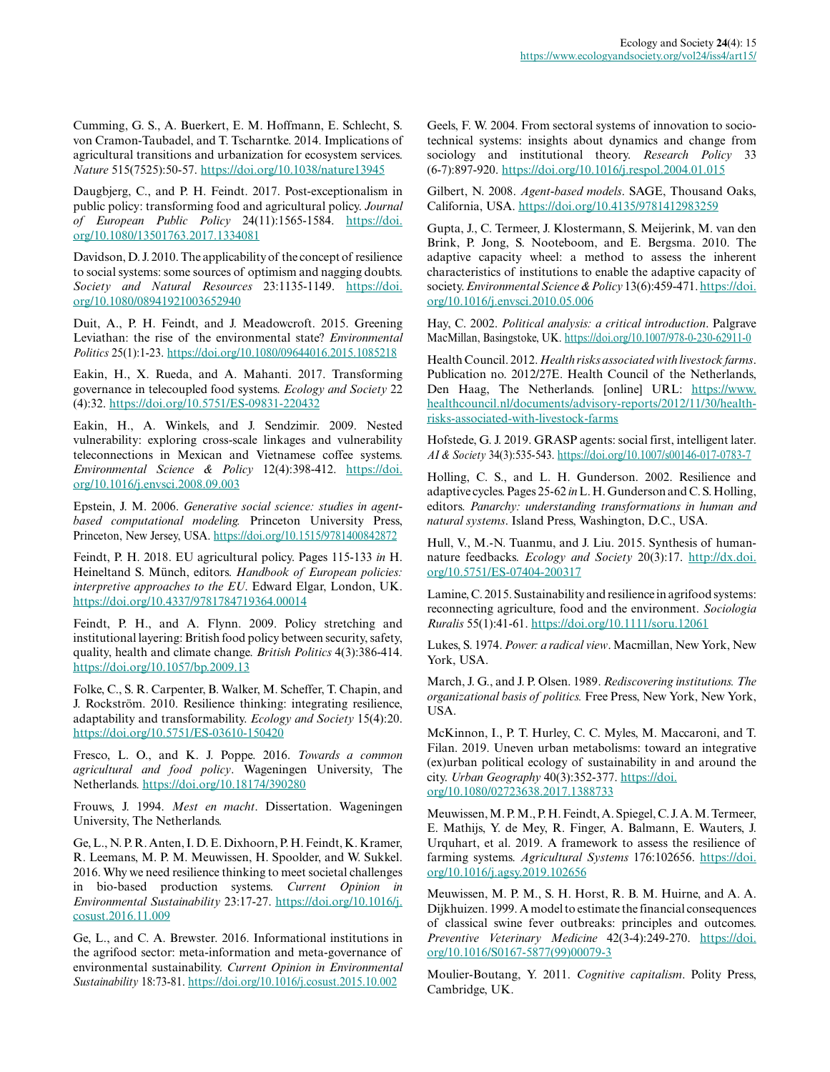Cumming, G. S., A. Buerkert, E. M. Hoffmann, E. Schlecht, S. von Cramon-Taubadel, and T. Tscharntke. 2014. Implications of agricultural transitions and urbanization for ecosystem services. *Nature* 515(7525):50-57. <https://doi.org/10.1038/nature13945>

Daugbjerg, C., and P. H. Feindt. 2017. Post-exceptionalism in public policy: transforming food and agricultural policy. *Journal of European Public Policy* 24(11):1565-1584. [https://doi.](https://doi.org/10.1080/13501763.2017.1334081) [org/10.1080/13501763.2017.1334081](https://doi.org/10.1080/13501763.2017.1334081) 

Davidson, D. J. 2010. The applicability of the concept of resilience to social systems: some sources of optimism and nagging doubts. *Society and Natural Resources* 23:1135-1149. [https://doi.](https://doi.org/10.1080/08941921003652940) [org/10.1080/08941921003652940](https://doi.org/10.1080/08941921003652940) 

Duit, A., P. H. Feindt, and J. Meadowcroft. 2015. Greening Leviathan: the rise of the environmental state? *Environmental Politics* 25(1):1-23.<https://doi.org/10.1080/09644016.2015.1085218>

Eakin, H., X. Rueda, and A. Mahanti. 2017. Transforming governance in telecoupled food systems. *Ecology and Society* 22 (4):32. <https://doi.org/10.5751/ES-09831-220432>

Eakin, H., A. Winkels, and J. Sendzimir. 2009. Nested vulnerability: exploring cross-scale linkages and vulnerability teleconnections in Mexican and Vietnamese coffee systems. *Environmental Science & Policy* 12(4):398-412. [https://doi.](https://doi.org/10.1016/j.envsci.2008.09.003) [org/10.1016/j.envsci.2008.09.003](https://doi.org/10.1016/j.envsci.2008.09.003) 

Epstein, J. M. 2006. *Generative social science: studies in agentbased computational modeling.* Princeton University Press, Princeton, New Jersey, USA.<https://doi.org/10.1515/9781400842872>

Feindt, P. H. 2018. EU agricultural policy. Pages 115-133 *in* H. Heineltand S. Münch, editors. *Handbook of European policies: interpretive approaches to the EU*. Edward Elgar, London, UK. <https://doi.org/10.4337/9781784719364.00014>

Feindt, P. H., and A. Flynn. 2009. Policy stretching and institutional layering: British food policy between security, safety, quality, health and climate change. *British Politics* 4(3):386-414. <https://doi.org/10.1057/bp.2009.13>

Folke, C., S. R. Carpenter, B. Walker, M. Scheffer, T. Chapin, and J. Rockström. 2010. Resilience thinking: integrating resilience, adaptability and transformability. *Ecology and Society* 15(4):20. <https://doi.org/10.5751/ES-03610-150420>

Fresco, L. O., and K. J. Poppe. 2016. *Towards a common agricultural and food policy*. Wageningen University, The Netherlands.<https://doi.org/10.18174/390280>

Frouws, J. 1994. *Mest en macht*. Dissertation. Wageningen University, The Netherlands.

Ge, L., N. P. R. Anten, I. D. E. Dixhoorn, P. H. Feindt, K. Kramer, R. Leemans, M. P. M. Meuwissen, H. Spoolder, and W. Sukkel. 2016. Why we need resilience thinking to meet societal challenges in bio-based production systems. *Current Opinion in Environmental Sustainability* 23:17-27. [https://doi.org/10.1016/j.](https://doi.org/10.1016/j.cosust.2016.11.009) [cosust.2016.11.009](https://doi.org/10.1016/j.cosust.2016.11.009) 

Ge, L., and C. A. Brewster. 2016. Informational institutions in the agrifood sector: meta-information and meta-governance of environmental sustainability. *Current Opinion in Environmental Sustainability* 18:73-81. <https://doi.org/10.1016/j.cosust.2015.10.002>

Geels, F. W. 2004. From sectoral systems of innovation to sociotechnical systems: insights about dynamics and change from sociology and institutional theory. *Research Policy* 33 (6-7):897-920.<https://doi.org/10.1016/j.respol.2004.01.015>

Gilbert, N. 2008. *Agent-based models*. SAGE, Thousand Oaks, California, USA. <https://doi.org/10.4135/9781412983259>

Gupta, J., C. Termeer, J. Klostermann, S. Meijerink, M. van den Brink, P. Jong, S. Nooteboom, and E. Bergsma. 2010. The adaptive capacity wheel: a method to assess the inherent characteristics of institutions to enable the adaptive capacity of society. *Environmental Science & Policy* 13(6):459-471. [https://doi.](https://doi.org/10.1016/j.envsci.2010.05.006) [org/10.1016/j.envsci.2010.05.006](https://doi.org/10.1016/j.envsci.2010.05.006) 

Hay, C. 2002. *Political analysis: a critical introduction*. Palgrave MacMillan, Basingstoke, UK.<https://doi.org/10.1007/978-0-230-62911-0>

Health Council. 2012. *Health risks associated with livestock farms*. Publication no. 2012/27E. Health Council of the Netherlands, Den Haag, The Netherlands. [online] URL: [https://www.](https://www.healthcouncil.nl/documents/advisory-reports/2012/11/30/health-risks-associated-with-livestock-farms) [healthcouncil.nl/documents/advisory-reports/2012/11/30/health](https://www.healthcouncil.nl/documents/advisory-reports/2012/11/30/health-risks-associated-with-livestock-farms)[risks-associated-with-livestock-farms](https://www.healthcouncil.nl/documents/advisory-reports/2012/11/30/health-risks-associated-with-livestock-farms)

Hofstede, G. J. 2019. GRASP agents: social first, intelligent later. *AI & Society* 34(3):535-543.<https://doi.org/10.1007/s00146-017-0783-7>

Holling, C. S., and L. H. Gunderson. 2002. Resilience and adaptive cycles. Pages 25-62 *in* L. H. Gunderson and C. S. Holling, editors. *Panarchy: understanding transformations in human and natural systems*. Island Press, Washington, D.C., USA.

Hull, V., M.-N. Tuanmu, and J. Liu. 2015. Synthesis of humannature feedbacks. *Ecology and Society* 20(3):17. [http://dx.doi.](http://dx.doi.org/10.5751/ES-07404-200317) [org/10.5751/ES-07404-200317](http://dx.doi.org/10.5751/ES-07404-200317) 

Lamine, C. 2015. Sustainability and resilience in agrifood systems: reconnecting agriculture, food and the environment. *Sociologia Ruralis* 55(1):41-61. <https://doi.org/10.1111/soru.12061>

Lukes, S. 1974. *Power: a radical view*. Macmillan, New York, New York, USA.

March, J. G., and J. P. Olsen. 1989. *Rediscovering institutions. The organizational basis of politics.* Free Press, New York, New York, USA.

McKinnon, I., P. T. Hurley, C. C. Myles, M. Maccaroni, and T. Filan. 2019. Uneven urban metabolisms: toward an integrative (ex)urban political ecology of sustainability in and around the city. *Urban Geography* 40(3):352-377. [https://doi.](https://doi.org/10.1080/02723638.2017.1388733) [org/10.1080/02723638.2017.1388733](https://doi.org/10.1080/02723638.2017.1388733) 

Meuwissen, M. P. M., P. H. Feindt, A. Spiegel, C. J. A. M. Termeer, E. Mathijs, Y. de Mey, R. Finger, A. Balmann, E. Wauters, J. Urquhart, et al. 2019. A framework to assess the resilience of farming systems. *Agricultural Systems* 176:102656. [https://doi.](https://doi.org/10.1016/j.agsy.2019.102656) [org/10.1016/j.agsy.2019.102656](https://doi.org/10.1016/j.agsy.2019.102656) 

Meuwissen, M. P. M., S. H. Horst, R. B. M. Huirne, and A. A. Dijkhuizen. 1999. A model to estimate the financial consequences of classical swine fever outbreaks: principles and outcomes. *Preventive Veterinary Medicine* 42(3-4):249-270. [https://doi.](https://doi.org/10.1016/S0167-5877(99)00079-3) [org/10.1016/S0167-5877\(99\)00079-3](https://doi.org/10.1016/S0167-5877(99)00079-3)

Moulier-Boutang, Y. 2011. *Cognitive capitalism*. Polity Press, Cambridge, UK.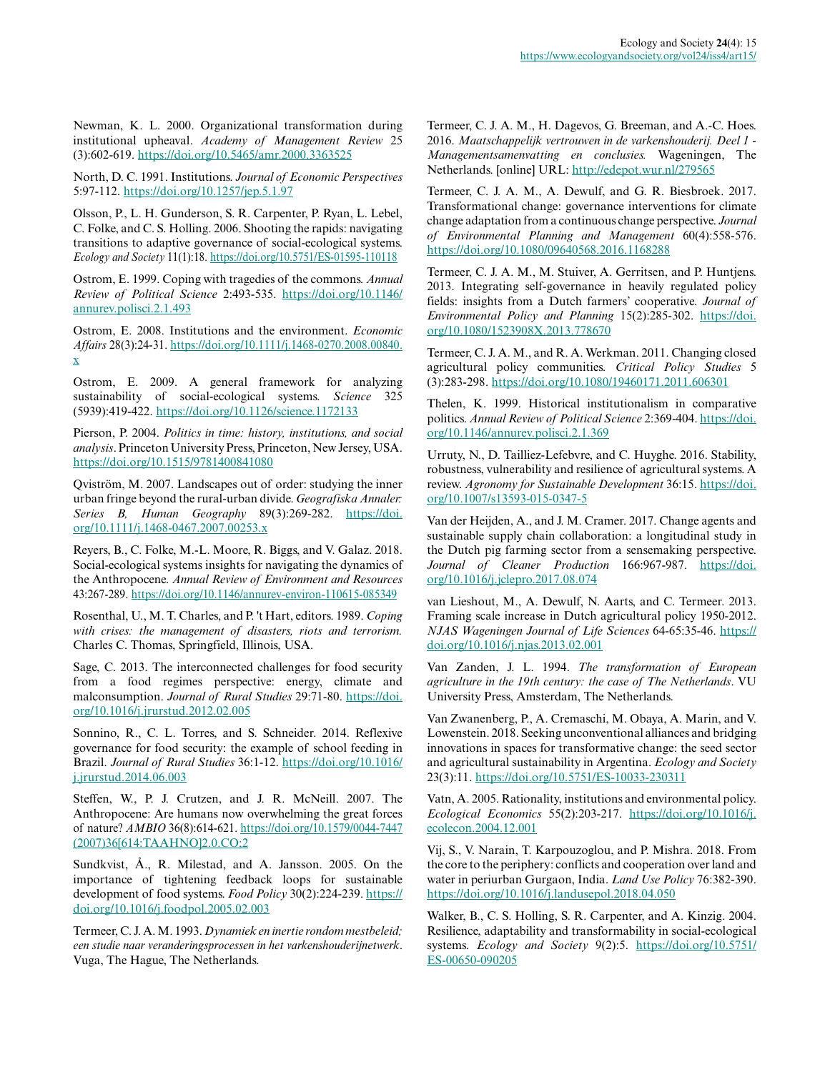Newman, K. L. 2000. Organizational transformation during institutional upheaval. *Academy of Management Review* 25 (3):602-619. <https://doi.org/10.5465/amr.2000.3363525>

North, D. C. 1991. Institutions. *Journal of Economic Perspectives* 5:97-112.<https://doi.org/10.1257/jep.5.1.97>

Olsson, P., L. H. Gunderson, S. R. Carpenter, P. Ryan, L. Lebel, C. Folke, and C. S. Holling. 2006. Shooting the rapids: navigating transitions to adaptive governance of social-ecological systems. *Ecology and Society* 11(1):18.<https://doi.org/10.5751/ES-01595-110118>

Ostrom, E. 1999. Coping with tragedies of the commons. *Annual Review of Political Science* 2:493-535. [https://doi.org/10.1146/](https://doi.org/10.1146/annurev.polisci.2.1.493) [annurev.polisci.2.1.493](https://doi.org/10.1146/annurev.polisci.2.1.493) 

Ostrom, E. 2008. Institutions and the environment. *Economic Affairs* 28(3):24-31. [https://doi.org/10.1111/j.1468-0270.2008.00840.](https://doi.org/10.1111/j.1468-0270.2008.00840.x) [x](https://doi.org/10.1111/j.1468-0270.2008.00840.x)

Ostrom, E. 2009. A general framework for analyzing sustainability of social-ecological systems. *Science* 325 (5939):419-422.<https://doi.org/10.1126/science.1172133>

Pierson, P. 2004. *Politics in time: history, institutions, and social analysis*. Princeton University Press, Princeton, New Jersey, USA. <https://doi.org/10.1515/9781400841080>

Qviström, M. 2007. Landscapes out of order: studying the inner urban fringe beyond the rural-urban divide. *Geografiska Annaler: Series B, Human Geography* 89(3):269-282. [https://doi.](https://doi.org/10.1111/j.1468-0467.2007.00253.x) [org/10.1111/j.1468-0467.2007.00253.x](https://doi.org/10.1111/j.1468-0467.2007.00253.x)

Reyers, B., C. Folke, M.-L. Moore, R. Biggs, and V. Galaz. 2018. Social-ecological systems insights for navigating the dynamics of the Anthropocene. *Annual Review of Environment and Resources* 43:267-289. <https://doi.org/10.1146/annurev-environ-110615-085349>

Rosenthal, U., M. T. Charles, and P. 't Hart, editors. 1989. *Coping with crises: the management of disasters, riots and terrorism.* Charles C. Thomas, Springfield, Illinois, USA.

Sage, C. 2013. The interconnected challenges for food security from a food regimes perspective: energy, climate and malconsumption. *Journal of Rural Studies* 29:71-80. [https://doi.](https://doi.org/10.1016/j.jrurstud.2012.02.005) [org/10.1016/j.jrurstud.2012.02.005](https://doi.org/10.1016/j.jrurstud.2012.02.005) 

Sonnino, R., C. L. Torres, and S. Schneider. 2014. Reflexive governance for food security: the example of school feeding in Brazil. *Journal of Rural Studies* 36:1-12. [https://doi.org/10.1016/](https://doi.org/10.1016/j.jrurstud.2014.06.003) [j.jrurstud.2014.06.003](https://doi.org/10.1016/j.jrurstud.2014.06.003)

Steffen, W., P. J. Crutzen, and J. R. McNeill. 2007. The Anthropocene: Are humans now overwhelming the great forces of nature? *AMBIO* 36(8):614-621. [https://doi.org/10.1579/0044-7447](https://doi.org/10.1579/0044-7447(2007)36[614:TAAHNO]2.0.CO;2) [\(2007\)36\[614:TAAHNO\]2.0.CO;2](https://doi.org/10.1579/0044-7447(2007)36[614:TAAHNO]2.0.CO;2)

Sundkvist, Å., R. Milestad, and A. Jansson. 2005. On the importance of tightening feedback loops for sustainable development of food systems. *Food Policy* 30(2):224-239. [https://](https://doi.org/10.1016/j.foodpol.2005.02.003) [doi.org/10.1016/j.foodpol.2005.02.003](https://doi.org/10.1016/j.foodpol.2005.02.003) 

Termeer, C. J. A. M. 1993. *Dynamiek en inertie rondom mestbeleid; een studie naar veranderingsprocessen in het varkenshouderijnetwerk*. Vuga, The Hague, The Netherlands.

Termeer, C. J. A. M., H. Dagevos, G. Breeman, and A.-C. Hoes. 2016. *Maatschappelijk vertrouwen in de varkenshouderij. Deel 1 - Managementsamenvatting en conclusies.* Wageningen, The Netherlands. [online] URL:<http://edepot.wur.nl/279565>

Termeer, C. J. A. M., A. Dewulf, and G. R. Biesbroek. 2017. Transformational change: governance interventions for climate change adaptation from a continuous change perspective. *Journal of Environmental Planning and Management* 60(4):558-576. <https://doi.org/10.1080/09640568.2016.1168288>

Termeer, C. J. A. M., M. Stuiver, A. Gerritsen, and P. Huntjens. 2013. Integrating self-governance in heavily regulated policy fields: insights from a Dutch farmers' cooperative. *Journal of Environmental Policy and Planning* 15(2):285-302. [https://doi.](https://doi.org/10.1080/1523908X.2013.778670) [org/10.1080/1523908X.2013.778670](https://doi.org/10.1080/1523908X.2013.778670) 

Termeer, C. J. A. M., and R. A. Werkman. 2011. Changing closed agricultural policy communities. *Critical Policy Studies* 5 (3):283-298. <https://doi.org/10.1080/19460171.2011.606301>

Thelen, K. 1999. Historical institutionalism in comparative politics. *Annual Review of Political Science* 2:369-404. [https://doi.](https://doi.org/10.1146/annurev.polisci.2.1.369) [org/10.1146/annurev.polisci.2.1.369](https://doi.org/10.1146/annurev.polisci.2.1.369)

Urruty, N., D. Tailliez-Lefebvre, and C. Huyghe. 2016. Stability, robustness, vulnerability and resilience of agricultural systems. A review. *Agronomy for Sustainable Development* 36:15. [https://doi.](https://doi.org/10.1007/s13593-015-0347-5) [org/10.1007/s13593-015-0347-5](https://doi.org/10.1007/s13593-015-0347-5)

Van der Heijden, A., and J. M. Cramer. 2017. Change agents and sustainable supply chain collaboration: a longitudinal study in the Dutch pig farming sector from a sensemaking perspective. *Journal of Cleaner Production* 166:967-987. [https://doi.](https://doi.org/10.1016/j.jclepro.2017.08.074) [org/10.1016/j.jclepro.2017.08.074](https://doi.org/10.1016/j.jclepro.2017.08.074)

van Lieshout, M., A. Dewulf, N. Aarts, and C. Termeer. 2013. Framing scale increase in Dutch agricultural policy 1950-2012. *NJAS Wageningen Journal of Life Sciences* 64-65:35-46. [https://](https://doi.org/10.1016/j.njas.2013.02.001) [doi.org/10.1016/j.njas.2013.02.001](https://doi.org/10.1016/j.njas.2013.02.001)

Van Zanden, J. L. 1994. *The transformation of European agriculture in the 19th century: the case of The Netherlands*. VU University Press, Amsterdam, The Netherlands.

Van Zwanenberg, P., A. Cremaschi, M. Obaya, A. Marin, and V. Lowenstein. 2018. Seeking unconventional alliances and bridging innovations in spaces for transformative change: the seed sector and agricultural sustainability in Argentina. *Ecology and Society* 23(3):11. <https://doi.org/10.5751/ES-10033-230311>

Vatn, A. 2005. Rationality, institutions and environmental policy. *Ecological Economics* 55(2):203-217. [https://doi.org/10.1016/j.](https://doi.org/10.1016/j.ecolecon.2004.12.001) [ecolecon.2004.12.001](https://doi.org/10.1016/j.ecolecon.2004.12.001) 

Vij, S., V. Narain, T. Karpouzoglou, and P. Mishra. 2018. From the core to the periphery: conflicts and cooperation over land and water in periurban Gurgaon, India. *Land Use Policy* 76:382-390. <https://doi.org/10.1016/j.landusepol.2018.04.050>

Walker, B., C. S. Holling, S. R. Carpenter, and A. Kinzig. 2004. Resilience, adaptability and transformability in social-ecological systems. *Ecology and Society* 9(2):5. [https://doi.org/10.5751/](https://doi.org/10.5751/ES-00650-090205) [ES-00650-090205](https://doi.org/10.5751/ES-00650-090205)